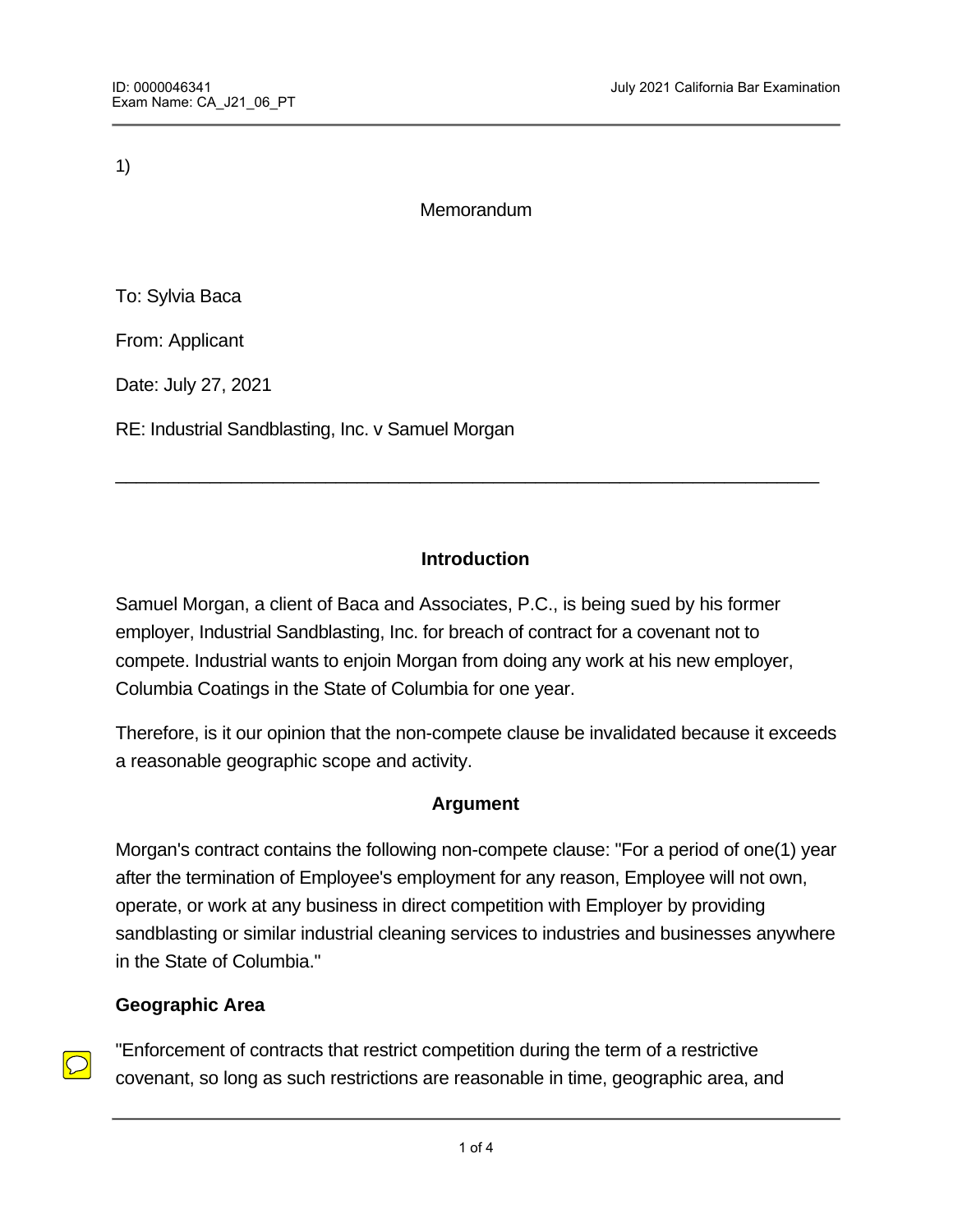1)

Memorandum

To: Sylvia Baca

From: Applicant

Date: July 27, 2021

RE: Industrial Sandblasting, Inc. v Samuel Morgan

## **Introduction**

\_\_\_\_\_\_\_\_\_\_\_\_\_\_\_\_\_\_\_\_\_\_\_\_\_\_\_\_\_\_\_\_\_\_\_\_\_\_\_\_\_\_\_\_\_\_\_\_\_\_\_\_\_\_\_\_\_\_\_\_\_\_\_\_\_\_\_

Samuel Morgan, a client of Baca and Associates, P.C., is being sued by his former employer, Industrial Sandblasting, Inc. for breach of contract for a covenant not to compete. Industrial wants to enjoin Morgan from doing any work at his new employer, Columbia Coatings in the State of Columbia for one year.

Therefore, is it our opinion that the non-compete clause be invalidated because it exceeds a reasonable geographic scope and activity.

## **Argument**

Morgan's contract contains the following non-compete clause: "For a period of one(1) year after the termination of Employee's employment for any reason, Employee will not own, operate, or work at any business in direct competition with Employer by providing sandblasting or similar industrial cleaning services to industries and businesses anywhere in the State of Columbia."

## **Geographic Area**

"Enforcement of contracts that restrict competition during the term of a restrictive covenant, so long as such restrictions are reasonable in time, geographic area, and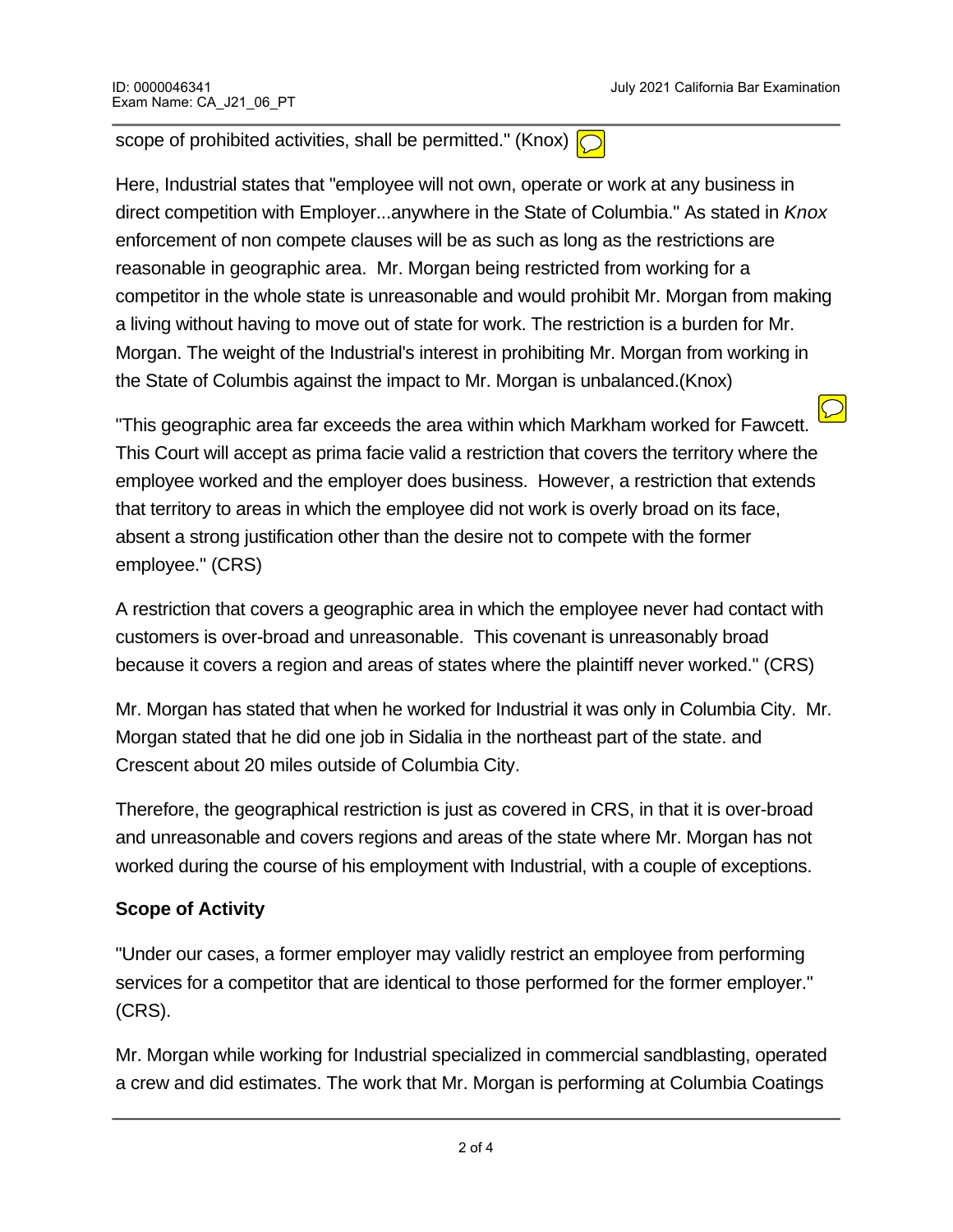scope of prohibited activities, shall be permitted." (Knox)  $\bigcirc$ 

Here, Industrial states that "employee will not own, operate or work at any business in direct competition with Employer...anywhere in the State of Columbia." As stated in *Knox* enforcement of non compete clauses will be as such as long as the restrictions are reasonable in geographic area. Mr. Morgan being restricted from working for a competitor in the whole state is unreasonable and would prohibit Mr. Morgan from making a living without having to move out of state for work. The restriction is a burden for Mr. Morgan. The weight of the Industrial's interest in prohibiting Mr. Morgan from working in the State of Columbis against the impact to Mr. Morgan is unbalanced.(Knox)

"This geographic area far exceeds the area within which Markham worked for Fawcett. This Court will accept as prima facie valid a restriction that covers the territory where the employee worked and the employer does business. However, a restriction that extends that territory to areas in which the employee did not work is overly broad on its face, absent a strong justification other than the desire not to compete with the former employee." (CRS)

A restriction that covers a geographic area in which the employee never had contact with customers is over-broad and unreasonable. This covenant is unreasonably broad because it covers a region and areas of states where the plaintiff never worked." (CRS)

Mr. Morgan has stated that when he worked for Industrial it was only in Columbia City. Mr. Morgan stated that he did one job in Sidalia in the northeast part of the state. and Crescent about 20 miles outside of Columbia City.

Therefore, the geographical restriction is just as covered in CRS, in that it is over-broad and unreasonable and covers regions and areas of the state where Mr. Morgan has not worked during the course of his employment with Industrial, with a couple of exceptions.

## **Scope of Activity**

"Under our cases, a former employer may validly restrict an employee from performing services for a competitor that are identical to those performed for the former employer." (CRS).

Mr. Morgan while working for Industrial specialized in commercial sandblasting, operated a crew and did estimates. The work that Mr. Morgan is performing at Columbia Coatings

is an office job more than a field job, hence a different capacity and activities. Further,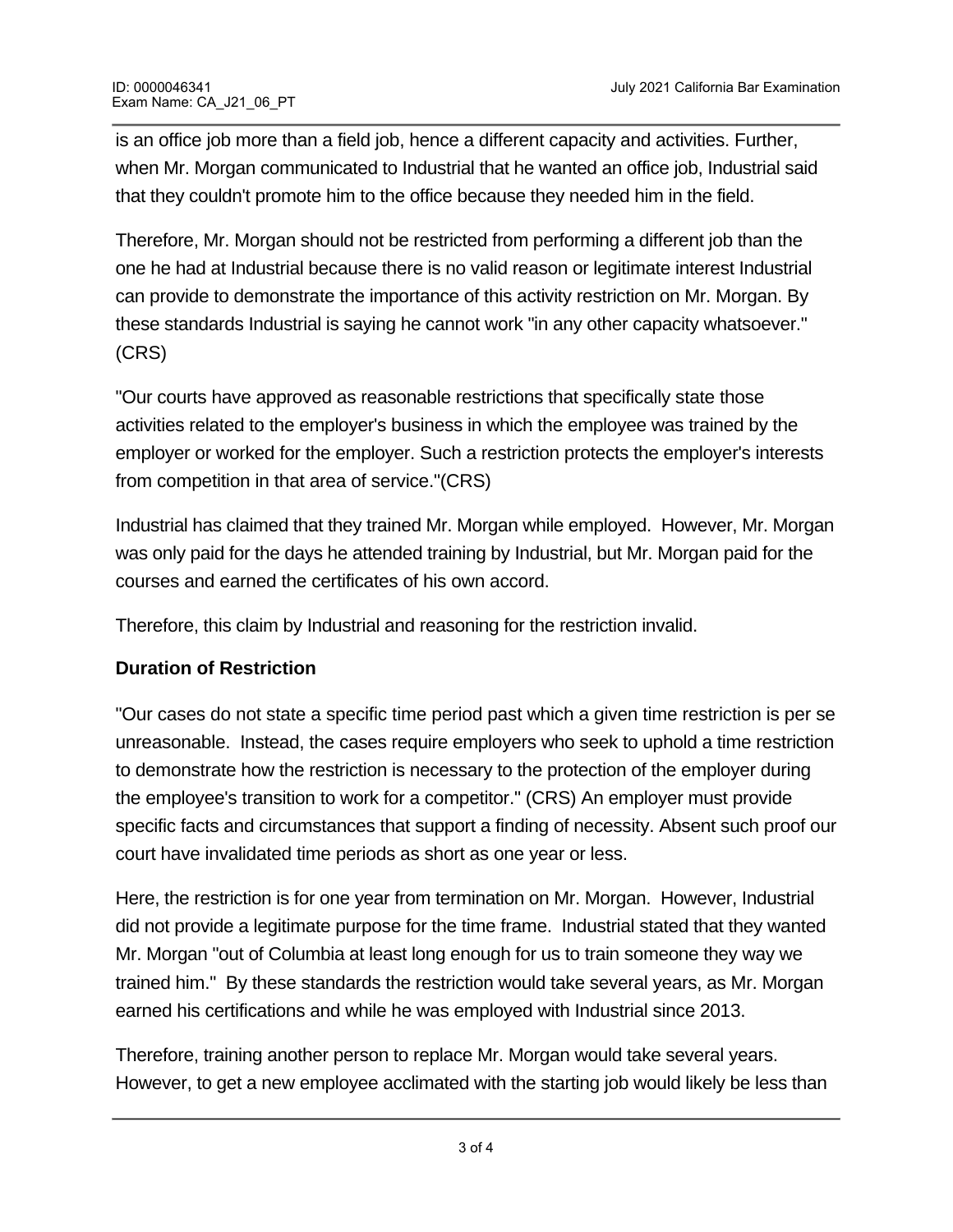is an office job more than a field job, hence a different capacity and activities. Further, when Mr. Morgan communicated to Industrial that he wanted an office job, Industrial said that they couldn't promote him to the office because they needed him in the field.

Therefore, Mr. Morgan should not be restricted from performing a different job than the one he had at Industrial because there is no valid reason or legitimate interest Industrial can provide to demonstrate the importance of this activity restriction on Mr. Morgan. By these standards Industrial is saying he cannot work "in any other capacity whatsoever." (CRS)

"Our courts have approved as reasonable restrictions that specifically state those activities related to the employer's business in which the employee was trained by the employer or worked for the employer. Such a restriction protects the employer's interests from competition in that area of service."(CRS)

Industrial has claimed that they trained Mr. Morgan while employed. However, Mr. Morgan was only paid for the days he attended training by Industrial, but Mr. Morgan paid for the courses and earned the certificates of his own accord.

Therefore, this claim by Industrial and reasoning for the restriction invalid.

## **Duration of Restriction**

"Our cases do not state a specific time period past which a given time restriction is per se unreasonable. Instead, the cases require employers who seek to uphold a time restriction to demonstrate how the restriction is necessary to the protection of the employer during the employee's transition to work for a competitor." (CRS) An employer must provide specific facts and circumstances that support a finding of necessity. Absent such proof our court have invalidated time periods as short as one year or less.

Here, the restriction is for one year from termination on Mr. Morgan. However, Industrial did not provide a legitimate purpose for the time frame. Industrial stated that they wanted Mr. Morgan "out of Columbia at least long enough for us to train someone they way we trained him." By these standards the restriction would take several years, as Mr. Morgan earned his certifications and while he was employed with Industrial since 2013.

Therefore, training another person to replace Mr. Morgan would take several years. However, to get a new employee acclimated with the starting job would likely be less than

two months. Thus this time restriction exceeds reasonable